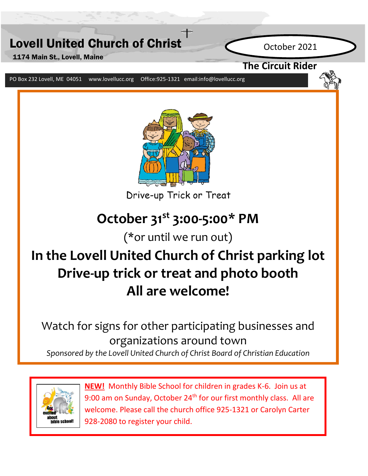# Lovell United Church of Christ

1174 Main St., Lovell, Maine

October 2021

### **The Circuit Rider**

PO Box 232 Lovell, ME 04051 www.lovellucc.org Office:925-1321 email:info@lovellucc.org



Drive-up Trick or Treat

# **October 31st 3:00-5:00\* PM**

(\*or until we run out)

## **April 2018 In the Lovell United Church of Christ parking lot Drive-up trick or treat and photo booth All are welcome!**

# Watch for signs for other participating businesses and organizations around town

*Sponsored by the Lovell United Church of Christ Board of Christian Education*



 **NEW!** Monthly Bible School for children in grades K-6. Join us at 9:00 am on Sunday, October 24<sup>th</sup> for our first monthly class. All are welcome. Please call the church office 925-1321 or Carolyn Carter 928-2080 to register your child.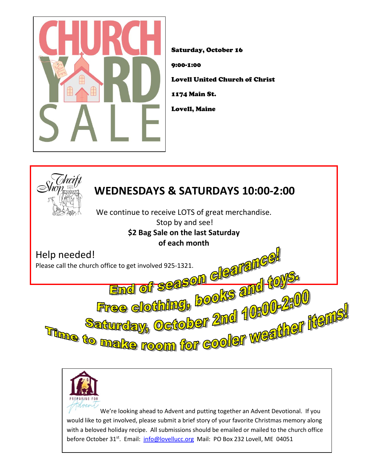

Saturday, October 16 9:00-1:00 Lovell United Church of Christ 1174 Main St. Lovell, Maine





We're looking ahead to Advent and putting together an Advent Devotional. If you would like to get involved, please submit a brief story of your favorite Christmas memory along with a beloved holiday recipe. All submissions should be emailed or mailed to the church office before October 31<sup>st</sup>. Email: [info@lovellucc.org](mailto:info@lovellucc.org) Mail: PO Box 232 Lovell, ME 04051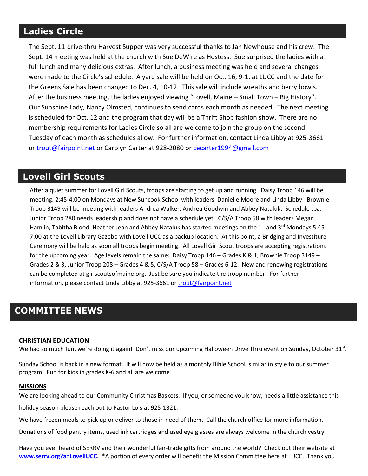## **Ladies Circle**

The Sept. 11 drive-thru Harvest Supper was very successful thanks to Jan Newhouse and his crew. The Sept. 14 meeting was held at the church with Sue DeWire as Hostess. Sue surprised the ladies with a full lunch and many delicious extras. After lunch, a business meeting was held and several changes were made to the Circle's schedule. A yard sale will be held on Oct. 16, 9-1, at LUCC and the date for the Greens Sale has been changed to Dec. 4, 10-12. This sale will include wreaths and berry bowls. After the business meeting, the ladies enjoyed viewing "Lovell, Maine – Small Town – Big History". Our Sunshine Lady, Nancy Olmsted, continues to send cards each month as needed. The next meeting is scheduled for Oct. 12 and the program that day will be a Thrift Shop fashion show. There are no membership requirements for Ladies Circle so all are welcome to join the group on the second Tuesday of each month as schedules allow. For further information, contact Linda Libby at 925-3661 or [trout@fairpoint.net](mailto:trout@fairpoint.net) or Carolyn Carter at 928-2080 or [cecarter1994@gmail.com](mailto:cecarter1994@gmail.com)

### **Lovell Girl Scouts**

After a quiet summer for Lovell Girl Scouts, troops are starting to get up and running. Daisy Troop 146 will be meeting, 2:45-4:00 on Mondays at New Suncook School with leaders, Danielle Moore and Linda Libby. Brownie Troop 3149 will be meeting with leaders Andrea Walker, Andrea Goodwin and Abbey Nataluk. Schedule tba. Junior Troop 280 needs leadership and does not have a schedule yet. C/S/A Troop 58 with leaders Megan Hamlin, Tabitha Blood, Heather Jean and Abbey Nataluk has started meetings on the 1<sup>st</sup> and 3<sup>rd</sup> Mondays 5:45-7:00 at the Lovell Library Gazebo with Lovell UCC as a backup location. At this point, a Bridging and Investiture Ceremony will be held as soon all troops begin meeting. All Lovell Girl Scout troops are accepting registrations for the upcoming year. Age levels remain the same: Daisy Troop 146 – Grades K & 1, Brownie Troop 3149 – Grades 2 & 3, Junior Troop 208 – Grades 4 & 5, C/S/A Troop 58 – Grades 6-12. New and renewing registrations can be completed at girlscoutsofmaine.org. Just be sure you indicate the troop number. For further information, please contact Linda Libby at 925-3661 or [trout@fairpoint.net](mailto:trout@fairpoint.net)

### **COMMITTEE NEWS**

#### **CHRISTIAN EDUCATION**

We had so much fun, we're doing it again! Don't miss our upcoming Halloween Drive Thru event on Sunday, October 31st.

Sunday School is back in a new format. It will now be held as a monthly Bible School, similar in style to our summer program. Fun for kids in grades K-6 and all are welcome!

#### **MISSIONS**

We are looking ahead to our Community Christmas Baskets. If you, or someone you know, needs a little assistance this

holiday season please reach out to Pastor Lois at 925-1321.

We have frozen meals to pick up or deliver to those in need of them. Call the church office for more information.

Donations of food pantry items, used ink cartridges and used eye glasses are always welcome in the church vestry.

Have you ever heard of SERRV and their wonderful fair-trade gifts from around the world? Check out their website at **[www.serrv.org?a=LovellUCC.](http://www.serrv.org/?a=LovellUCC)** \*A portion of every order will benefit the Mission Committee here at LUCC. Thank you!